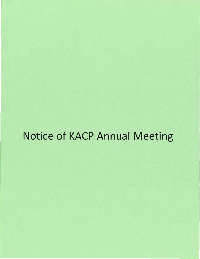# Notice of KACP Annual Meeting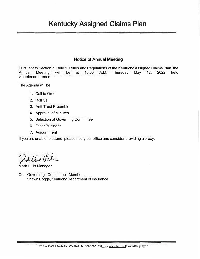# **Kentucky Assigned Claims Plan**

# **Notice of Annual Meeting**

Pursuant to Section 3, Rule 9, Rules and Regulations of the Kentucky Assigned Claims Plan, the Annual Meeting will be at 10:30 A.M. Thursday May 12, 2022 held via teleconference.

The Agenda will be:

- 1. Call to Order
- 2. Roll Call
- 3. Anti-Trust Preamble
- 4. Approval of Minutes
- 5. Selection of Governing Committee
- 6. Other Business
- 7. Adjournment

If you are unable to attend, please notify our office and consider providing a proxy.

tephy / hour 110 k

Mark Hillis Manager

Cc: Governing Committee Members Shawn Boggs, Kentucky Department of Insurance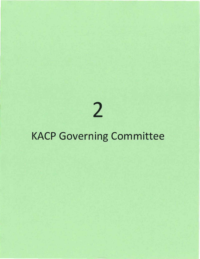2

# KACP Governing Committee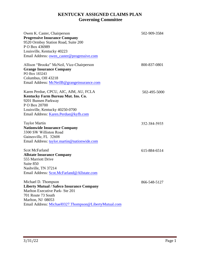# **KENTUCKY ASSIGNED CLAIMS PLAN Governing Committee**

| Owen K. Caster, Chairperson<br><b>Progressive Insurance Company</b><br>9520 Ormbsy Station Road, Suite 200<br>P O Box 436989<br>Louisville, Kentucky 40223<br>Email Address: owen_caster@progressive.com | 502-909-3584 |
|----------------------------------------------------------------------------------------------------------------------------------------------------------------------------------------------------------|--------------|
| Allison "Brooke" McNeil, Vice-Chairperson<br><b>Grange Insurance Company</b>                                                                                                                             | 800-837-0801 |
| PO Box 183243                                                                                                                                                                                            |              |
| Columbus, OH 43218                                                                                                                                                                                       |              |
| Email Address: McNeilB@grangeinsurance.com                                                                                                                                                               |              |
| Karen Perdue, CPCU, AIC, AIM, AU, FCLA<br>Kentucky Farm Bureau Mut. Ins. Co.                                                                                                                             | 502-495-5000 |
| 9201 Bunsen Parkway                                                                                                                                                                                      |              |
| P O Box 20700                                                                                                                                                                                            |              |
| Louisville, Kentucky 40250-0700                                                                                                                                                                          |              |
| Email Address: Karen.Perdue@kyfb.com                                                                                                                                                                     |              |
| <b>Taylor Martin</b>                                                                                                                                                                                     | 352-384-5935 |
| <b>Nationwide Insurance Company</b>                                                                                                                                                                      |              |
| 3300 SW Williston Road                                                                                                                                                                                   |              |
| Gainesville, FL 32608                                                                                                                                                                                    |              |
| Email Address: taylor.martin@nationwide.com                                                                                                                                                              |              |
| <b>Scot McFarland</b>                                                                                                                                                                                    | 615-884-6514 |
| <b>Allstate Insurance Company</b>                                                                                                                                                                        |              |
| 555 Marriott Drive                                                                                                                                                                                       |              |
| Suite 850                                                                                                                                                                                                |              |
| Nashville, TN 37214                                                                                                                                                                                      |              |
| Email Address: Scot.McFarland@Allstate.com                                                                                                                                                               |              |
| Michael D. Thompson                                                                                                                                                                                      | 866-548-5127 |
| <b>Liberty Mutual / Safeco Insurance Company</b>                                                                                                                                                         |              |
| Marlton Executive Park- Ste 201                                                                                                                                                                          |              |
| 701 Route 73 South                                                                                                                                                                                       |              |
| Marlton, NJ 08053                                                                                                                                                                                        |              |
| Email Address: Michael0327.Thompson@LibertyMutual.com                                                                                                                                                    |              |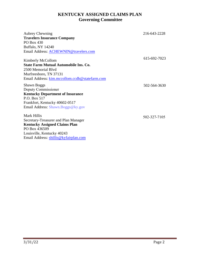# **KENTUCKY ASSIGNED CLAIMS PLAN Governing Committee**

| <b>Aubrey Chewning</b>                         | 216-643-2228 |
|------------------------------------------------|--------------|
| <b>Travelers Insurance Company</b>             |              |
| PO Box 430                                     |              |
| Buffalo, NY 14240                              |              |
| Email Address: ACHEWNIN@travelers.com          |              |
|                                                |              |
| Kimberly McCollom                              | 615-692-7023 |
| <b>State Farm Mutual Automobile Ins. Co.</b>   |              |
| 2500 Memorial Blvd                             |              |
| Murfreesboro, TN 37131                         |              |
| Email Address: kim.mccollom.ccdh@statefarm.com |              |
| <b>Shawn Boggs</b>                             | 502-564-3630 |
| Deputy Commissioner                            |              |
| <b>Kentucky Department of Insurance</b>        |              |
| P.O. Box 517                                   |              |
| Frankfort, Kentucky 40602-0517                 |              |
| Email Address: Shawn.Boggs@ky.gov              |              |
| Mark Hillis                                    |              |
| Secretary-Treasurer and Plan Manager           | 502-327-7105 |
| <b>Kentucky Assigned Claims Plan</b>           |              |
| PO Box 436509                                  |              |
| Louisville, Kentucky 40243                     |              |
| Email Address: shillis@kyfairplan.com          |              |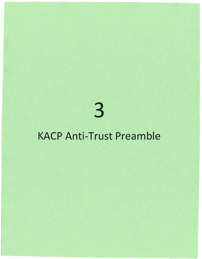3

# KACP Anti-Trust Preamble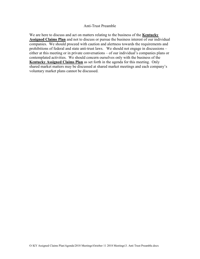#### Anti-Trust Preamble

We are here to discuss and act on matters relating to the business of the **Kentucky Assigned Claims Plan** and not to discuss or pursue the business interest of our individual companies. We should proceed with caution and alertness towards the requirements and prohibitions of federal and state anti-trust laws. We should not engage in discussions – either at this meeting or in private conversations – of our individual's companies plans or contemplated activities. We should concern ourselves only with the business of the Kentucky Assigned Claims Plan as set forth in the agenda for this meeting. Only shared market matters may be discussed at shared market meetings and each company's voluntary market plans cannot be discussed.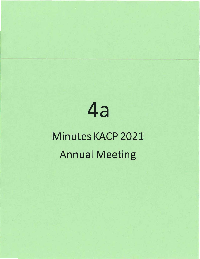# **4a**

# Minutes KACP 2021 Annual Meeting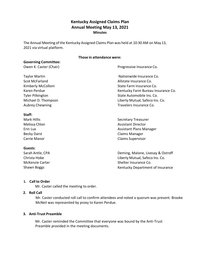# **Kentucky Assigned Claims Plan Annual Meeting May 13, 2021 Minutes**

The Annual Meeting of the Kentucky Assigned Claims Plan was held at 10:30 AM on May 13, 2021 via virtual platform.

# **Those in attendance were:**

| <b>Governing Committee:</b> |                                    |
|-----------------------------|------------------------------------|
| Owen K. Caster (Chair)      | Progressive Insurance Co.          |
| <b>Taylor Martin</b>        | Nationwide Insurance Co.           |
| <b>Scot McFarland</b>       | Allstate Insurance Co.             |
| Kimberly McCollom           | State Farm Insurance Co.           |
| Karen Perdue                | Kentucky Farm Bureau Insurance Co. |
| <b>Tyler Pilkington</b>     | State Automobile Ins. Co.          |
| Michael D. Thompson         | Liberty Mutual, Safeco Ins. Co.    |
| <b>Aubrey Chewning</b>      | Travelers Insurance Co.            |
| Staff:                      |                                    |
| Mark Hillis                 | <b>Secretary Treasurer</b>         |
| Melissa Chlon               | <b>Assistant Director</b>          |
| Erin Lux                    | Assistant Plans Manager            |
| <b>Becky Darst</b>          | Claims Manager                     |

# **Guests**:

Carrie Manor

Sarah Antle, CPA Christa Hobe McKenzie Carter Shawn Boggs

Deming, Malone, Livesay & Ostroff Liberty Mutual, Safeco Ins. Co. Shelter Insurance Co. Kentucky Department of Insurance

Claims Supervisor

# **1. Call to Order**

Mr. Caster called the meeting to order.

# **2. Roll Call**

Mr. Caster conducted roll call to confirm attendees and noted a quorum was present. Brooke McNeil was represented by proxy to Karen Perdue.

# **3. Anti-Trust Preamble**

Mr. Caster reminded the Committee that everyone was bound by the Anti-Trust Preamble provided in the meeting documents.